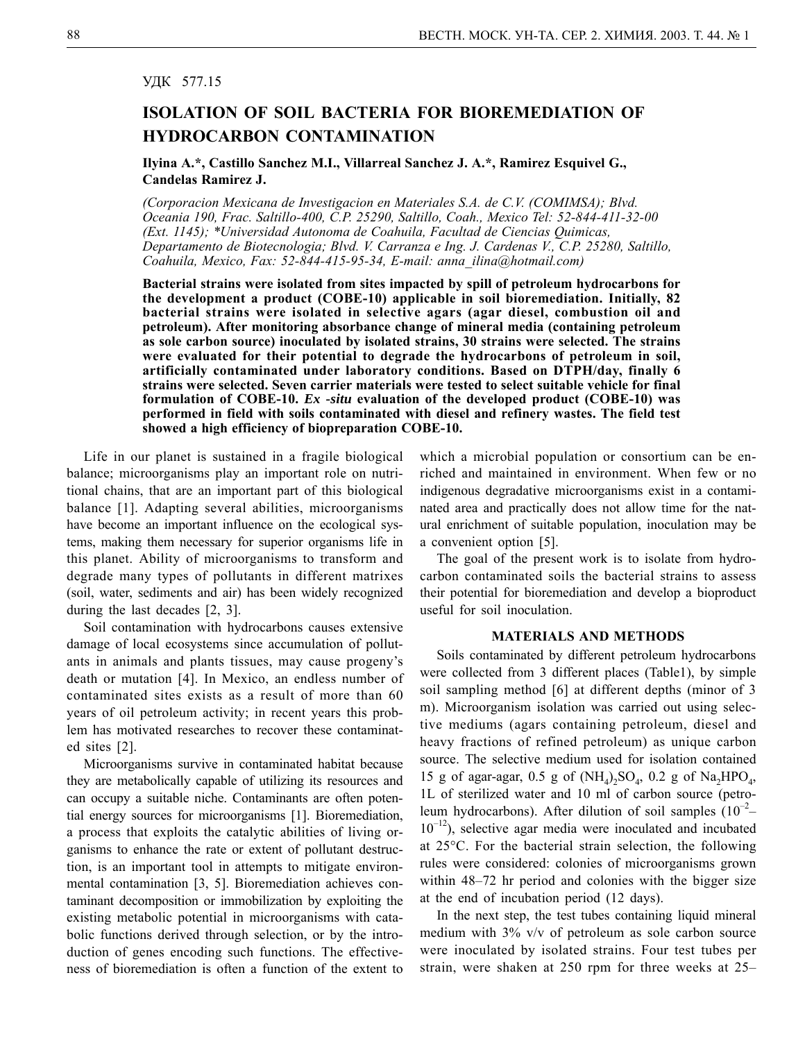## УДК 577.15

## **ISOLATION OF SOIL BACTERIA FOR BIOREMEDIATION OF HYDROCARBON CONTAMINATION**

**Ilyina A.\*, Castillo Sanchez M.I., Villarreal Sanchez J. A.\*, Ramirez Esquivel G., Candelas Ramirez J.**

*(Corporacion Mexicana de Investigacion en Materiales S.A. de C.V. (COMIMSA); Blvd. Oceania 190, Frac. Saltillo-400, C.P. 25290, Saltillo, Coah., Mexico Tel: 52-844-411-32-00 (Ext. 1145); \*Universidad Autonoma de Coahuila, Facultad de Ciencias Quimicas, Departamento de Biotecnologia; Blvd. V. Carranza e Ing. J. Cardenas V., C.P. 25280, Saltillo, Coahuila, Mexico, Fax: 52-844-415-95-34, E-mail: anna\_ilina@hotmail.com)*

**Bacterial strains were isolated from sites impacted by spill of petroleum hydrocarbons for the development a product (COBE-10) applicable in soil bioremediation. Initially, 82 bacterial strains were isolated in selective agars (agar diesel, combustion oil and petroleum). After monitoring absorbance change of mineral media (containing petroleum as sole carbon source) inoculated by isolated strains, 30 strains were selected. The strains were evaluated for their potential to degrade the hydrocarbons of petroleum in soil, artificially contaminated under laboratory conditions. Based on DTPH/day, finally 6 strains were selected. Seven carrier materials were tested to select suitable vehicle for final formulation of COBE-10.** *Ex -situ* **evaluation of the developed product (COBE-10) was performed in field with soils contaminated with diesel and refinery wastes. The field test showed a high efficiency of biopreparation COBE-10.**

Life in our planet is sustained in a fragile biological balance; microorganisms play an important role on nutritional chains, that are an important part of this biological balance [1]. Adapting several abilities, microorganisms have become an important influence on the ecological systems, making them necessary for superior organisms life in this planet. Ability of microorganisms to transform and degrade many types of pollutants in different matrixes (soil, water, sediments and air) has been widely recognized during the last decades [2, 3].

Soil contamination with hydrocarbons causes extensive damage of local ecosystems since accumulation of pollutants in animals and plants tissues, may cause progeny's death or mutation [4]. In Mexico, an endless number of contaminated sites exists as a result of more than 60 years of oil petroleum activity; in recent years this problem has motivated researches to recover these contaminated sites [2].

Microorganisms survive in contaminated habitat because they are metabolically capable of utilizing its resources and can occupy a suitable niche. Contaminants are often potential energy sources for microorganisms [1]. Bioremediation, a process that exploits the catalytic abilities of living organisms to enhance the rate or extent of pollutant destruction, is an important tool in attempts to mitigate environmental contamination [3, 5]. Bioremediation achieves contaminant decomposition or immobilization by exploiting the existing metabolic potential in microorganisms with catabolic functions derived through selection, or by the introduction of genes encoding such functions. The effectiveness of bioremediation is often a function of the extent to

which a microbial population or consortium can be enriched and maintained in environment. When few or no indigenous degradative microorganisms exist in a contaminated area and practically does not allow time for the natural enrichment of suitable population, inoculation may be a convenient option [5].

The goal of the present work is to isolate from hydrocarbon contaminated soils the bacterial strains to assess their potential for bioremediation and develop a bioproduct useful for soil inoculation.

## **MATERIALS AND METHODS**

Soils contaminated by different petroleum hydrocarbons were collected from 3 different places (Table1), by simple soil sampling method [6] at different depths (minor of 3 m). Microorganism isolation was carried out using selective mediums (agars containing petroleum, diesel and heavy fractions of refined petroleum) as unique carbon source. The selective medium used for isolation contained 15 g of agar-agar, 0.5 g of  $(NH_4)_2SO_4$ , 0.2 g of  $Na_2HPO_4$ , 1L of sterilized water and 10 ml of carbon source (petroleum hydrocarbons). After dilution of soil samples  $(10^{-2} 10^{-12}$ ), selective agar media were inoculated and incubated at 25°C. For the bacterial strain selection, the following rules were considered: colonies of microorganisms grown within 48–72 hr period and colonies with the bigger size at the end of incubation period (12 days).

In the next step, the test tubes containing liquid mineral medium with 3% v/v of petroleum as sole carbon source were inoculated by isolated strains. Four test tubes per strain, were shaken at 250 rpm for three weeks at 25–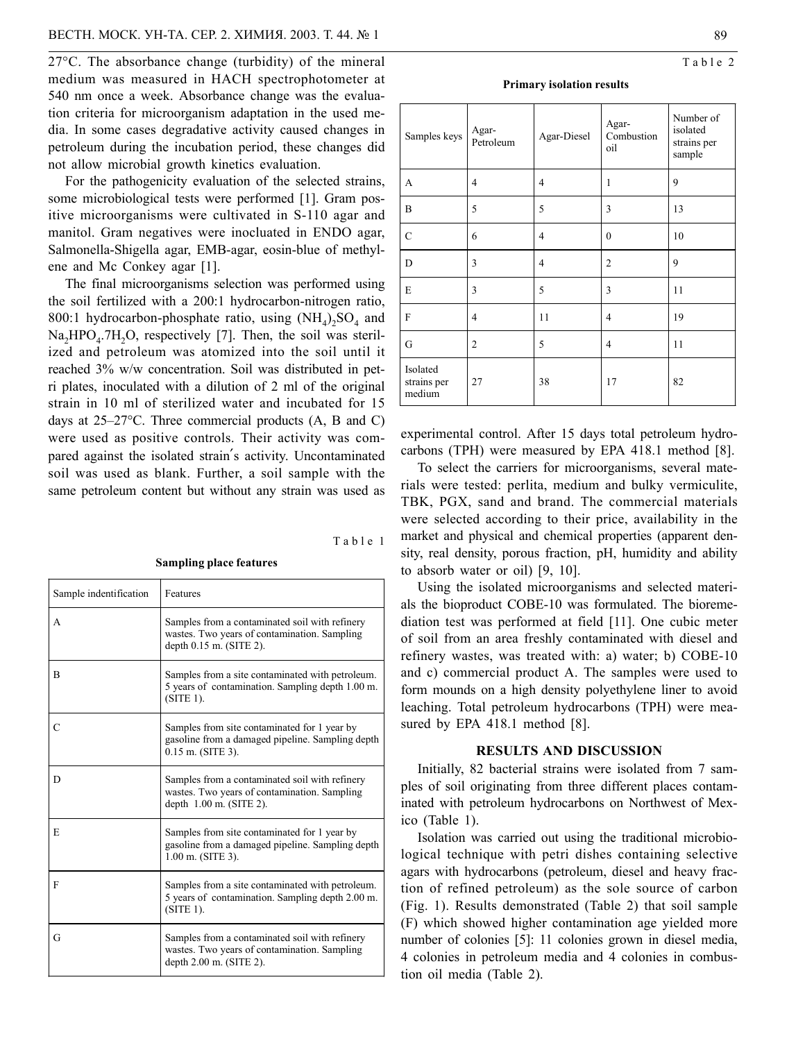27°C. The absorbance change (turbidity) of the mineral medium was measured in HACH spectrophotometer at 540 nm once a week. Absorbance change was the evaluation criteria for microorganism adaptation in the used media. In some cases degradative activity caused changes in petroleum during the incubation period, these changes did not allow microbial growth kinetics evaluation.

For the pathogenicity evaluation of the selected strains, some microbiological tests were performed [1]. Gram positive microorganisms were cultivated in S-110 agar and manitol. Gram negatives were inocluated in ENDO agar, Salmonella-Shigella agar, EMB-agar, eosin-blue of methylene and Mc Conkey agar [1].

The final microorganisms selection was performed using the soil fertilized with a 200:1 hydrocarbon-nitrogen ratio, 800:1 hydrocarbon-phosphate ratio, using  $(NH_4)$ ,  $SO_4$  and  $Na<sub>2</sub>HPO<sub>4</sub>$ .7H<sub>2</sub>O, respectively [7]. Then, the soil was sterilized and petroleum was atomized into the soil until it reached 3% w/w concentration. Soil was distributed in petri plates, inoculated with a dilution of 2 ml of the original strain in 10 ml of sterilized water and incubated for 15 days at 25–27°C. Three commercial products (A, B and C) were used as positive controls. Their activity was compared against the isolated strain′s activity. Uncontaminated soil was used as blank. Further, a soil sample with the same petroleum content but without any strain was used as

Table 1

**Sampling place features**

| Sample indentification | Features                                                                                                                    |
|------------------------|-----------------------------------------------------------------------------------------------------------------------------|
| A                      | Samples from a contaminated soil with refinery<br>wastes. Two years of contamination. Sampling<br>depth $0.15$ m. (SITE 2). |
| B                      | Samples from a site contaminated with petroleum.<br>5 years of contamination. Sampling depth 1.00 m.<br>$(SITE 1)$ .        |
| C                      | Samples from site contaminated for 1 year by<br>gasoline from a damaged pipeline. Sampling depth<br>$0.15$ m. (SITE 3).     |
| D                      | Samples from a contaminated soil with refinery<br>wastes. Two years of contamination. Sampling<br>depth $1.00$ m. (SITE 2). |
| E                      | Samples from site contaminated for 1 year by<br>gasoline from a damaged pipeline. Sampling depth<br>$1.00$ m. (SITE 3).     |
| F                      | Samples from a site contaminated with petroleum.<br>5 years of contamination. Sampling depth 2.00 m.<br>$(SITE 1)$ .        |
| G                      | Samples from a contaminated soil with refinery<br>wastes. Two years of contamination. Sampling<br>depth 2.00 m. (SITE 2).   |

| <b>Primary isolation results</b> |  |
|----------------------------------|--|
|                                  |  |

| Samples keys                      | Agar-<br>Petroleum | Agar-Diesel    | Agar-<br>Combustion<br>oil | Number of<br>isolated<br>strains per<br>sample |
|-----------------------------------|--------------------|----------------|----------------------------|------------------------------------------------|
| A                                 | 4                  | 4              | 1                          | 9                                              |
| B                                 | 5                  | 5              | 3                          | 13                                             |
| $\mathcal{C}$                     | 6                  | $\overline{4}$ | $\mathbf{0}$               | 10                                             |
| D                                 | 3                  | $\overline{4}$ | $\overline{2}$             | 9                                              |
| E                                 | 3                  | 5              | 3                          | 11                                             |
| F                                 | $\overline{4}$     | 11             | $\overline{4}$             | 19                                             |
| G                                 | 2                  | 5              | $\overline{4}$             | 11                                             |
| Isolated<br>strains per<br>medium | 27                 | 38             | 17                         | 82                                             |

experimental control. After 15 days total petroleum hydrocarbons (TPH) were measured by EPA 418.1 method [8].

To select the carriers for microorganisms, several materials were tested: perlita, medium and bulky vermiculite, TBK, PGX, sand and brand. The commercial materials were selected according to their price, availability in the market and physical and chemical properties (apparent density, real density, porous fraction, pH, humidity and ability to absorb water or oil) [9, 10].

Using the isolated microorganisms and selected materials the bioproduct COBE-10 was formulated. The bioremediation test was performed at field [11]. One cubic meter of soil from an area freshly contaminated with diesel and refinery wastes, was treated with: a) water; b) COBE-10 and c) commercial product A. The samples were used to form mounds on a high density polyethylene liner to avoid leaching. Total petroleum hydrocarbons (TPH) were measured by EPA 418.1 method [8].

### **RESULTS AND DISCUSSION**

Initially, 82 bacterial strains were isolated from 7 samples of soil originating from three different places contaminated with petroleum hydrocarbons on Northwest of Mexico (Table 1).

Isolation was carried out using the traditional microbiological technique with petri dishes containing selective agars with hydrocarbons (petroleum, diesel and heavy fraction of refined petroleum) as the sole source of carbon (Fig. 1). Results demonstrated (Table 2) that soil sample (F) which showed higher contamination age yielded more number of colonies [5]: 11 colonies grown in diesel media, 4 colonies in petroleum media and 4 colonies in combustion oil media (Table 2).

Table 2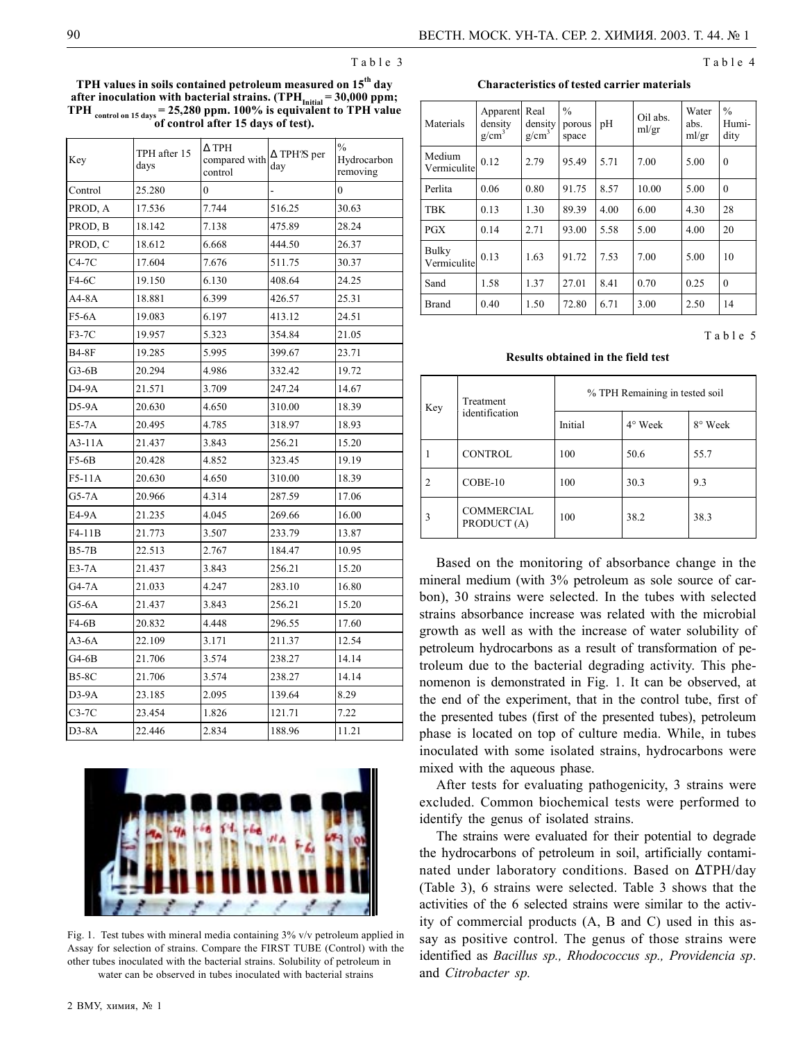Table 3

**TPH values in soils contained petroleum measured on 15th day** after inoculation with bacterial strains. (TPH<sub>Initial</sub> = 30,000 ppm; **TPH control on 15 days = 25,280 ppm. 100% is equivalent to TPH value of control after 15 days of test).**

| Key          | TPH after 15<br>days | $\Delta$ TPH<br>compared with<br>control | $\Delta$ TPH $\frac{1}{2}$ per<br>day | $\%$<br>Hydrocarbon<br>removing |
|--------------|----------------------|------------------------------------------|---------------------------------------|---------------------------------|
| Control      | 25.280               | $\overline{0}$                           |                                       | $\overline{0}$                  |
| PROD, A      | 17.536               | 7.744                                    | 516.25                                | 30.63                           |
| PROD, B      | 18.142               | 7.138                                    | 475.89                                | 28.24                           |
| PROD, C      | 18.612               | 6.668                                    | 444.50                                | 26.37                           |
| $C4-7C$      | 17.604               | 7.676                                    | 511.75                                | 30.37                           |
| F4-6C        | 19.150               | 6.130                                    | 408.64                                | 24.25                           |
| A4-8A        | 18.881               | 6.399                                    | 426.57                                | 25.31                           |
| F5-6A        | 19.083               | 6.197                                    | 413.12                                | 24.51                           |
| F3-7C        | 19.957               | 5.323                                    | 354.84                                | 21.05                           |
| <b>B4-8F</b> | 19.285               | 5.995                                    | 399.67                                | 23.71                           |
| $G3-6B$      | 20.294               | 4.986                                    | 332.42                                | 19.72                           |
| D4-9A        | 21.571               | 3.709                                    | 247.24                                | 14.67                           |
| D5-9A        | 20.630               | 4.650                                    | 310.00                                | 18.39                           |
| $E5-7A$      | 20.495               | 4.785                                    | 318.97                                | 18.93                           |
| $A3-11A$     | 21.437               | 3.843                                    | 256.21                                | 15.20                           |
| $F5-6B$      | 20.428               | 4.852                                    | 323.45                                | 19.19                           |
| $F5-11A$     | 20.630               | 4.650                                    | 310.00                                | 18.39                           |
| G5-7A        | 20.966               | 4.314                                    | 287.59                                | 17.06                           |
| E4-9A        | 21.235               | 4.045                                    | 269.66                                | 16.00                           |
| F4-11B       | 21.773               | 3.507                                    | 233.79                                | 13.87                           |
| $B5-7B$      | 22.513               | 2.767                                    | 184.47                                | 10.95                           |
| $E3-7A$      | 21.437               | 3.843                                    | 256.21                                | 15.20                           |
| $G4-7A$      | 21.033               | 4.247                                    | 283.10                                | 16.80                           |
| G5-6A        | 21.437               | 3.843                                    | 256.21                                | 15.20                           |
| $F4-6B$      | 20.832               | 4.448                                    | 296.55                                | 17.60                           |
| $A3-6A$      | 22.109               | 3.171                                    | 211.37                                | 12.54                           |
| G4-6B        | 21.706               | 3.574                                    | 238.27                                | 14.14                           |
| <b>B5-8C</b> | 21.706               | 3.574                                    | 238.27                                | 14.14                           |
| $D3-9A$      | 23.185               | 2.095                                    | 139.64                                | 8.29                            |
| $C3-7C$      | 23.454               | 1.826                                    | 121.71                                | 7.22                            |
| $D3-8A$      | 22.446               | 2.834                                    | 188.96                                | 11.21                           |



Fig. 1. Test tubes with mineral media containing 3% v/v petroleum applied in Assay for selection of strains. Compare the FIRST TUBE (Control) with the other tubes inoculated with the bacterial strains. Solubility of petroleum in water can be observed in tubes inoculated with bacterial strains

**Characteristics of tested carrier materials**

| Materials                   | Apparent Real<br>density<br>$g/cm^3$ | density<br>$g/cm^3$ | $\frac{0}{0}$<br>porous<br>space | pH   | Oil abs.<br>ml/gr | Water<br>abs.<br>ml/gr | $\frac{0}{0}$<br>Humi-<br>dity |
|-----------------------------|--------------------------------------|---------------------|----------------------------------|------|-------------------|------------------------|--------------------------------|
| Medium<br>Vermiculite       | 0.12                                 | 2.79                | 95.49                            | 5.71 | 7.00              | 5.00                   | $\theta$                       |
| Perlita                     | 0.06                                 | 0.80                | 91.75                            | 8.57 | 10.00             | 5.00                   | $\mathbf{0}$                   |
| TBK                         | 0.13                                 | 1.30                | 89.39                            | 4.00 | 6.00              | 4.30                   | 28                             |
| <b>PGX</b>                  | 0.14                                 | 2.71                | 93.00                            | 5.58 | 5.00              | 4.00                   | 20                             |
| <b>Bulky</b><br>Vermiculite | 0.13                                 | 1.63                | 91.72                            | 7.53 | 7.00              | 5.00                   | 10                             |
| Sand                        | 1.58                                 | 1.37                | 27.01                            | 8.41 | 0.70              | 0.25                   | $\theta$                       |
| Brand                       | 0.40                                 | 1.50                | 72.80                            | 6.71 | 3.00              | 2.50                   | 14                             |

#### Table 5

Table 4

#### **Results obtained in the field test**

| Key            | Treatment<br>identification      | % TPH Remaining in tested soil |         |         |  |
|----------------|----------------------------------|--------------------------------|---------|---------|--|
|                |                                  | Initial                        | 4° Week | 8° Week |  |
|                | <b>CONTROL</b>                   | 100                            | 50.6    | 55.7    |  |
| $\overline{2}$ | $COBE-10$                        | 100                            | 30.3    | 9.3     |  |
| $\overline{3}$ | <b>COMMERCIAL</b><br>PRODUCT (A) | 100                            | 38.2    | 38.3    |  |

Based on the monitoring of absorbance change in the mineral medium (with 3% petroleum as sole source of carbon), 30 strains were selected. In the tubes with selected strains absorbance increase was related with the microbial growth as well as with the increase of water solubility of petroleum hydrocarbons as a result of transformation of petroleum due to the bacterial degrading activity. This phenomenon is demonstrated in Fig. 1. It can be observed, at the end of the experiment, that in the control tube, first of the presented tubes (first of the presented tubes), petroleum phase is located on top of culture media. While, in tubes inoculated with some isolated strains, hydrocarbons were mixed with the aqueous phase.

After tests for evaluating pathogenicity, 3 strains were excluded. Common biochemical tests were performed to identify the genus of isolated strains.

The strains were evaluated for their potential to degrade the hydrocarbons of petroleum in soil, artificially contaminated under laboratory conditions. Based on ∆TPH/day (Table 3), 6 strains were selected. Table 3 shows that the activities of the 6 selected strains were similar to the activity of commercial products (A, B and C) used in this assay as positive control. The genus of those strains were identified as *Bacillus sp., Rhodococcus sp., Providencia sp*. and *Citrobacter sp.*